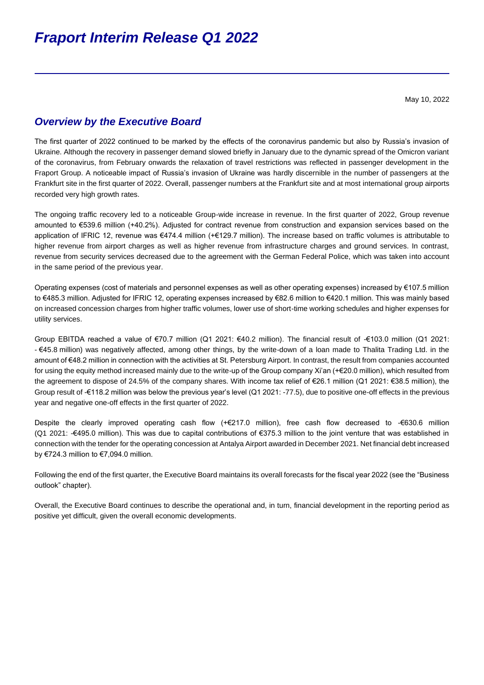# *Overview by the Executive Board*

The first quarter of 2022 continued to be marked by the effects of the coronavirus pandemic but also by Russia's invasion of Ukraine. Although the recovery in passenger demand slowed briefly in January due to the dynamic spread of the Omicron variant of the coronavirus, from February onwards the relaxation of travel restrictions was reflected in passenger development in the Fraport Group. A noticeable impact of Russia's invasion of Ukraine was hardly discernible in the number of passengers at the Frankfurt site in the first quarter of 2022. Overall, passenger numbers at the Frankfurt site and at most international group airports recorded very high growth rates.

The ongoing traffic recovery led to a noticeable Group-wide increase in revenue. In the first quarter of 2022, Group revenue amounted to €539.6 million (+40.2%). Adjusted for contract revenue from construction and expansion services based on the application of IFRIC 12, revenue was €474.4 million (+€129.7 million). The increase based on traffic volumes is attributable to higher revenue from airport charges as well as higher revenue from infrastructure charges and ground services. In contrast, revenue from security services decreased due to the agreement with the German Federal Police, which was taken into account in the same period of the previous year.

Operating expenses (cost of materials and personnel expenses as well as other operating expenses) increased by €107.5 million to €485.3 million. Adjusted for IFRIC 12, operating expenses increased by €82.6 million to €420.1 million. This was mainly based on increased concession charges from higher traffic volumes, lower use of short-time working schedules and higher expenses for utility services.

Group EBITDA reached a value of €70.7 million (Q1 2021: €40.2 million). The financial result of -€103.0 million (Q1 2021: - €45.8 million) was negatively affected, among other things, by the write-down of a loan made to Thalita Trading Ltd. in the amount of €48.2 million in connection with the activities at St. Petersburg Airport. In contrast, the result from companies accounted for using the equity method increased mainly due to the write-up of the Group company Xi'an (+€20.0 million), which resulted from the agreement to dispose of 24.5% of the company shares. With income tax relief of €26.1 million (Q1 2021: €38.5 million), the Group result of -€118.2 million was below the previous year's level (Q1 2021: -77.5), due to positive one-off effects in the previous year and negative one-off effects in the first quarter of 2022.

Despite the clearly improved operating cash flow (+€217.0 million), free cash flow decreased to -€630.6 million (Q1 2021: -€495.0 million). This was due to capital contributions of €375.3 million to the joint venture that was established in connection with the tender for the operating concession at Antalya Airport awarded in December 2021. Net financial debt increased by €724.3 million to €7,094.0 million.

Following the end of the first quarter, the Executive Board maintains its overall forecasts for the fiscal year 2022 (see the "Business outlook" chapter).

Overall, the Executive Board continues to describe the operational and, in turn, financial development in the reporting period as positive yet difficult, given the overall economic developments.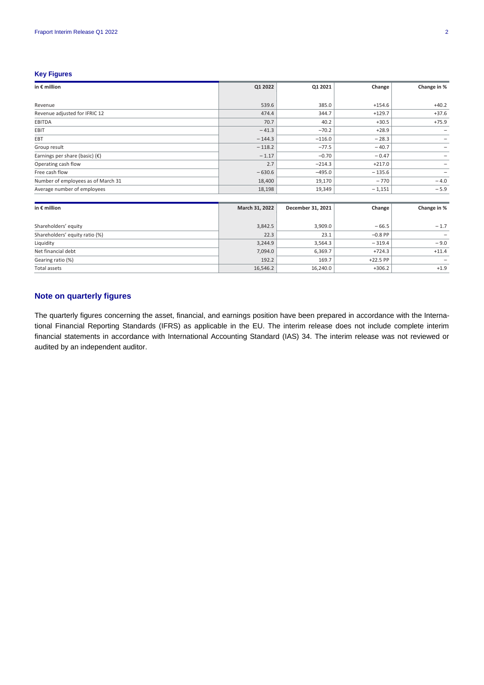# **Key Figures**

| in $\epsilon$ million                   | Q1 2022        | Q1 2021           | Change    | Change in % |
|-----------------------------------------|----------------|-------------------|-----------|-------------|
|                                         |                |                   |           |             |
| Revenue                                 | 539.6          | 385.0             | $+154.6$  | $+40.2$     |
| Revenue adjusted for IFRIC 12           | 474.4          | 344.7             | $+129.7$  | $+37.6$     |
| EBITDA                                  | 70.7           | 40.2              | $+30.5$   | $+75.9$     |
| <b>EBIT</b>                             | $-41.3$        | $-70.2$           | $+28.9$   |             |
| EBT                                     | $-144.3$       | $-116.0$          | $-28.3$   |             |
| Group result                            | $-118.2$       | $-77.5$           | $-40.7$   |             |
| Earnings per share (basic) $(\epsilon)$ | $-1.17$        | $-0.70$           | $-0.47$   |             |
| Operating cash flow                     | 2.7            | $-214.3$          | $+217.0$  |             |
| Free cash flow                          | $-630.6$       | $-495.0$          | $-135.6$  | -           |
| Number of employees as of March 31      | 18,400         | 19,170            | $-770$    | $-4.0$      |
| Average number of employees             | 18,198         | 19,349            | $-1,151$  | $-5.9$      |
|                                         |                |                   |           |             |
| in $\epsilon$ million                   | March 31, 2022 | December 31, 2021 | Change    | Change in % |
| Shareholders' equity                    | 3,842.5        | 3,909.0           | $-66.5$   | $-1.7$      |
| Shareholders' equity ratio (%)          | 22.3           | 23.1              | $-0.8$ PP |             |
| Liquidity                               | 3,244.9        | 3,564.3           | $-319.4$  | $-9.0$      |
| Net financial debt                      | 7,094.0        | 6,369.7           | $+724.3$  | $+11.4$     |
| Gearing ratio (%)                       | 192.2          | 169.7             | +22.5 PP  |             |
| <b>Total assets</b>                     | 16,546.2       | 16,240.0          | $+306.2$  | $+1.9$      |

# **Note on quarterly figures**

The quarterly figures concerning the asset, financial, and earnings position have been prepared in accordance with the International Financial Reporting Standards (IFRS) as applicable in the EU. The interim release does not include complete interim financial statements in accordance with International Accounting Standard (IAS) 34. The interim release was not reviewed or audited by an independent auditor.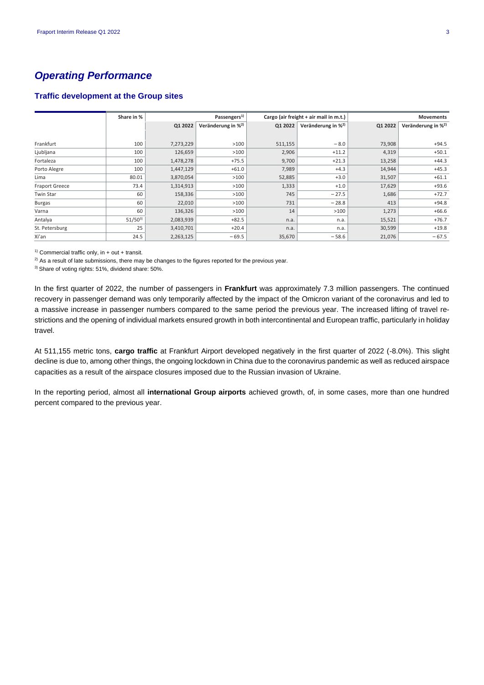# *Operating Performance*

# **Traffic development at the Group sites**

|                       | Share in %  |           | Passengers <sup>1)</sup>       |         | Cargo (air freight + air mail in m.t.) |         | <b>Movements</b>               |
|-----------------------|-------------|-----------|--------------------------------|---------|----------------------------------------|---------|--------------------------------|
|                       |             | Q1 2022   | Veränderung in % <sup>2)</sup> | Q1 2022 | Veränderung in % <sup>2)</sup>         | Q1 2022 | Veränderung in % <sup>2)</sup> |
|                       |             |           |                                |         |                                        |         |                                |
| Frankfurt             | 100         | 7,273,229 | >100                           | 511,155 | $-8.0$                                 | 73,908  | $+94.5$                        |
| Ljubljana             | 100         | 126,659   | >100                           | 2,906   | $+11.2$                                | 4,319   | $+50.1$                        |
| Fortaleza             | 100         | 1,478,278 | $+75.5$                        | 9,700   | $+21.3$                                | 13,258  | $+44.3$                        |
| Porto Alegre          | 100         | 1,447,129 | $+61.0$                        | 7,989   | $+4.3$                                 | 14,944  | $+45.3$                        |
| Lima                  | 80.01       | 3,870,054 | >100                           | 52,885  | $+3.0$                                 | 31,507  | $+61.1$                        |
| <b>Fraport Greece</b> | 73.4        | 1,314,913 | >100                           | 1,333   | $+1.0$                                 | 17,629  | $+93.6$                        |
| Twin Star             | 60          | 158,336   | >100                           | 745     | $-27.5$                                | 1,686   | $+72.7$                        |
| <b>Burgas</b>         | 60          | 22,010    | >100                           | 731     | $-28.8$                                | 413     | $+94.8$                        |
| Varna                 | 60          | 136,326   | >100                           | 14      | >100                                   | 1,273   | $+66.6$                        |
| Antalya               | $51/50^{3}$ | 2,083,939 | $+82.5$                        | n.a.    | n.a.                                   | 15,521  | $+76.7$                        |
| St. Petersburg        | 25          | 3,410,701 | $+20.4$                        | n.a.    | n.a.                                   | 30,599  | $+19.8$                        |
| Xi'an                 | 24.5        | 2,263,125 | $-69.5$                        | 35,670  | $-58.6$                                | 21,076  | $-67.5$                        |

<sup>1)</sup> Commercial traffic only, in + out + transit.

<sup>2)</sup> As a result of late submissions, there may be changes to the figures reported for the previous year.

3) Share of voting rights: 51%, dividend share: 50%.

In the first quarter of 2022, the number of passengers in **Frankfurt** was approximately 7.3 million passengers. The continued recovery in passenger demand was only temporarily affected by the impact of the Omicron variant of the coronavirus and led to a massive increase in passenger numbers compared to the same period the previous year. The increased lifting of travel restrictions and the opening of individual markets ensured growth in both intercontinental and European traffic, particularly in holiday travel.

At 511,155 metric tons, **cargo traffic** at Frankfurt Airport developed negatively in the first quarter of 2022 (-8.0%). This slight decline is due to, among other things, the ongoing lockdown in China due to the coronavirus pandemic as well as reduced airspace capacities as a result of the airspace closures imposed due to the Russian invasion of Ukraine.

In the reporting period, almost all **international Group airports** achieved growth, of, in some cases, more than one hundred percent compared to the previous year.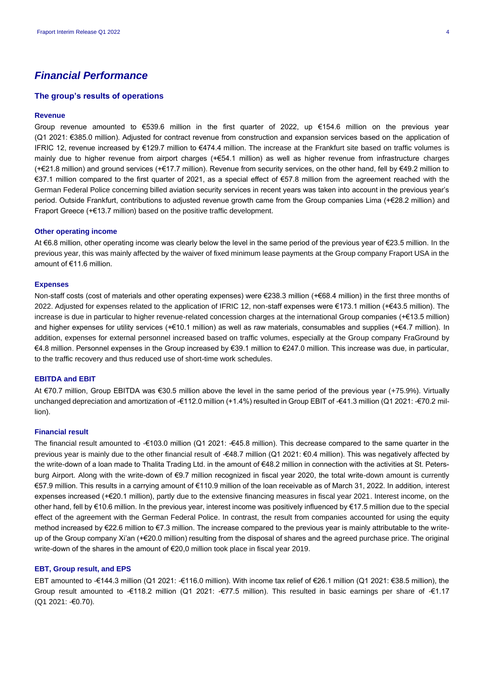# *Financial Performance*

# **The group's results of operations**

### **Revenue**

Group revenue amounted to €539.6 million in the first quarter of 2022, up €154.6 million on the previous year (Q1 2021: €385.0 million). Adjusted for contract revenue from construction and expansion services based on the application of IFRIC 12, revenue increased by €129.7 million to €474.4 million. The increase at the Frankfurt site based on traffic volumes is mainly due to higher revenue from airport charges (+€54.1 million) as well as higher revenue from infrastructure charges (+€21.8 million) and ground services (+€17.7 million). Revenue from security services, on the other hand, fell by €49.2 million to €37.1 million compared to the first quarter of 2021, as a special effect of €57.8 million from the agreement reached with the German Federal Police concerning billed aviation security services in recent years was taken into account in the previous year's period. Outside Frankfurt, contributions to adjusted revenue growth came from the Group companies Lima (+€28.2 million) and Fraport Greece (+€13.7 million) based on the positive traffic development.

#### **Other operating income**

At €6.8 million, other operating income was clearly below the level in the same period of the previous year of €23.5 million. In the previous year, this was mainly affected by the waiver of fixed minimum lease payments at the Group company Fraport USA in the amount of €11.6 million.

### **Expenses**

Non-staff costs (cost of materials and other operating expenses) were €238.3 million (+€68.4 million) in the first three months of 2022. Adjusted for expenses related to the application of IFRIC 12, non-staff expenses were €173.1 million (+€43.5 million). The increase is due in particular to higher revenue-related concession charges at the international Group companies (+€13.5 million) and higher expenses for utility services (+€10.1 million) as well as raw materials, consumables and supplies (+€4.7 million). In addition, expenses for external personnel increased based on traffic volumes, especially at the Group company FraGround by €4.8 million. Personnel expenses in the Group increased by €39.1 million to €247.0 million. This increase was due, in particular, to the traffic recovery and thus reduced use of short-time work schedules.

### **EBITDA and EBIT**

At €70.7 million, Group EBITDA was €30.5 million above the level in the same period of the previous year (+75.9%). Virtually unchanged depreciation and amortization of -€112.0 million (+1.4%) resulted in Group EBIT of -€41.3 million (Q1 2021: -€70.2 million).

## **Financial result**

The financial result amounted to -€103.0 million (Q1 2021: -€45.8 million). This decrease compared to the same quarter in the previous year is mainly due to the other financial result of -€48.7 million (Q1 2021: €0.4 million). This was negatively affected by the write-down of a loan made to Thalita Trading Ltd. in the amount of €48.2 million in connection with the activities at St. Petersburg Airport. Along with the write-down of €9.7 million recognized in fiscal year 2020, the total write-down amount is currently €57.9 million. This results in a carrying amount of €110.9 million of the loan receivable as of March 31, 2022. In addition, interest expenses increased (+€20.1 million), partly due to the extensive financing measures in fiscal year 2021. Interest income, on the other hand, fell by €10.6 million. In the previous year, interest income was positively influenced by €17.5 million due to the special effect of the agreement with the German Federal Police. In contrast, the result from companies accounted for using the equity method increased by €22.6 million to €7.3 million. The increase compared to the previous year is mainly attributable to the writeup of the Group company Xi'an (+€20.0 million) resulting from the disposal of shares and the agreed purchase price. The original write-down of the shares in the amount of €20,0 million took place in fiscal year 2019.

## **EBT, Group result, and EPS**

EBT amounted to -€144.3 million (Q1 2021: -€116.0 million). With income tax relief of €26.1 million (Q1 2021: €38.5 million), the Group result amounted to -€118.2 million (Q1 2021: -€77.5 million). This resulted in basic earnings per share of -€1.17 (Q1 2021: -€0.70).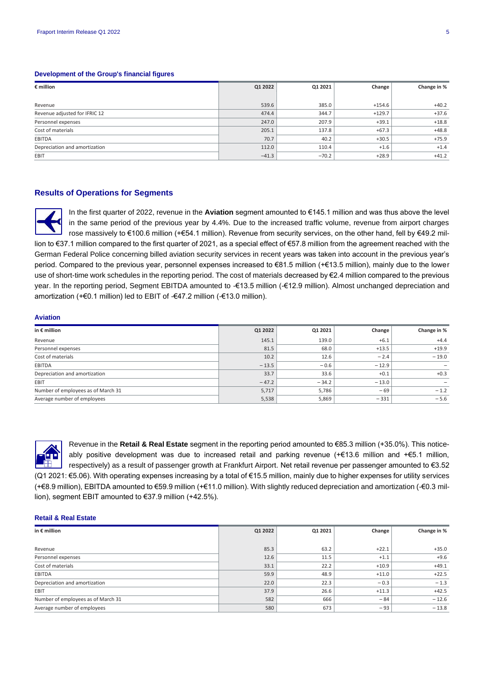# **Development of the Group's financial figures**

| $\epsilon$ million            | Q1 2022 | Q1 2021 | Change   | Change in % |
|-------------------------------|---------|---------|----------|-------------|
|                               |         |         |          |             |
| Revenue                       | 539.6   | 385.0   | $+154.6$ | $+40.2$     |
| Revenue adjusted for IFRIC 12 | 474.4   | 344.7   | $+129.7$ | $+37.6$     |
| Personnel expenses            | 247.0   | 207.9   | $+39.1$  | $+18.8$     |
| Cost of materials             | 205.1   | 137.8   | $+67.3$  | $+48.8$     |
| EBITDA                        | 70.7    | 40.2    | $+30.5$  | $+75.9$     |
| Depreciation and amortization | 112.0   | 110.4   | $+1.6$   | $+1.4$      |
| EBIT                          | $-41.3$ | $-70.2$ | $+28.9$  | $+41.2$     |

## **Results of Operations for Segments**

In the first quarter of 2022, revenue in the **Aviation** segment amounted to €145.1 million and was thus above the level in the same period of the previous year by 4.4%. Due to the increased traffic volume, revenue from airport charges rose massively to €100.6 million (+€54.1 million). Revenue from security services, on the other hand, fell by €49.2 million to €37.1 million compared to the first quarter of 2021, as a special effect of €57.8 million from the agreement reached with the German Federal Police concerning billed aviation security services in recent years was taken into account in the previous year's period. Compared to the previous year, personnel expenses increased to €81.5 million (+€13.5 million), mainly due to the lower use of short-time work schedules in the reporting period. The cost of materials decreased by €2.4 million compared to the previous year. In the reporting period, Segment EBITDA amounted to -€13.5 million (-€12.9 million). Almost unchanged depreciation and amortization (+€0.1 million) led to EBIT of -€47.2 million (-€13.0 million).

#### **Aviation**

| in $\epsilon$ million              | Q1 2022 | Q1 2021 | Change  | Change in % |
|------------------------------------|---------|---------|---------|-------------|
| Revenue                            | 145.1   | 139.0   | $+6.1$  | $+4.4$      |
| Personnel expenses                 | 81.5    | 68.0    | $+13.5$ | $+19.9$     |
| Cost of materials                  | 10.2    | 12.6    | $-2.4$  | $-19.0$     |
| EBITDA                             | $-13.5$ | $-0.6$  | $-12.9$ |             |
| Depreciation and amortization      | 33.7    | 33.6    | $+0.1$  | $+0.3$      |
| <b>EBIT</b>                        | $-47.2$ | $-34.2$ | $-13.0$ |             |
| Number of employees as of March 31 | 5,717   | 5,786   | $-69$   | $-1.2$      |
| Average number of employees        | 5,538   | 5,869   | $-331$  | $-5.6$      |



Revenue in the **Retail & Real Estate** segment in the reporting period amounted to €85.3 million (+35.0%). This noticeably positive development was due to increased retail and parking revenue (+€13.6 million and +€5.1 million, respectively) as a result of passenger growth at Frankfurt Airport. Net retail revenue per passenger amounted to €3.52 (Q1 2021: €5.06). With operating expenses increasing by a total of €15.5 million, mainly due to higher expenses for utility services (+€8.9 million), EBITDA amounted to €59.9 million (+€11.0 million). With slightly reduced depreciation and amortization (-€0.3 million), segment EBIT amounted to €37.9 million (+42.5%).

#### **Retail & Real Estate**

| in $\epsilon$ million              | Q1 2022 | Q1 2021 | Change  | Change in % |
|------------------------------------|---------|---------|---------|-------------|
|                                    |         |         |         |             |
| Revenue                            | 85.3    | 63.2    | $+22.1$ | $+35.0$     |
| Personnel expenses                 | 12.6    | 11.5    | $+1.1$  | $+9.6$      |
| Cost of materials                  | 33.1    | 22.2    | $+10.9$ | $+49.1$     |
| EBITDA                             | 59.9    | 48.9    | $+11.0$ | $+22.5$     |
| Depreciation and amortization      | 22.0    | 22.3    | $-0.3$  | $-1.3$      |
| EBIT                               | 37.9    | 26.6    | $+11.3$ | $+42.5$     |
| Number of employees as of March 31 | 582     | 666     | $-84$   | $-12.6$     |
| Average number of employees        | 580     | 673     | $-93$   | $-13.8$     |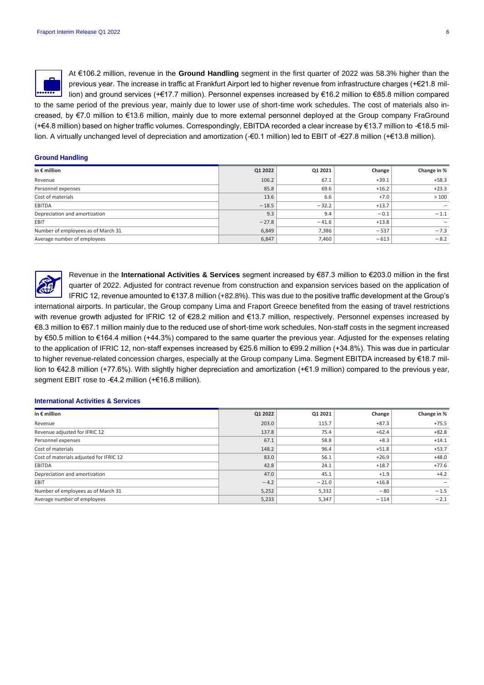

At €106.2 million, revenue in the **Ground Handling** segment in the first quarter of 2022 was 58.3% higher than the previous year. The increase in traffic at Frankfurt Airport led to higher revenue from infrastructure charges (+€21.8 million) and ground services (+€17.7 million). Personnel expenses increased by €16.2 million to €85.8 million compared to the same period of the previous year, mainly due to lower use of short-time work schedules. The cost of materials also in-

creased, by €7.0 million to €13.6 million, mainly due to more external personnel deployed at the Group company FraGround (+€4.8 million) based on higher traffic volumes. Correspondingly, EBITDA recorded a clear increase by €13.7 million to -€18.5 million. A virtually unchanged level of depreciation and amortization (-€0.1 million) led to EBIT of -€27.8 million (+€13.8 million).

# **Ground Handling**

| in $\epsilon$ million              | Q1 2022 | Q1 2021 | Change  | Change in % |
|------------------------------------|---------|---------|---------|-------------|
| Revenue                            | 106.2   | 67.1    | $+39.1$ | $+58.3$     |
| Personnel expenses                 | 85.8    | 69.6    | $+16.2$ | $+23.3$     |
| Cost of materials                  | 13.6    | 6.6     | $+7.0$  | >100        |
| EBITDA                             | $-18.5$ | $-32.2$ | $+13.7$ | -           |
| Depreciation and amortization      | 9.3     | 9.4     | $-0.1$  | $-1.1$      |
| EBIT                               | $-27.8$ | $-41.6$ | $+13.8$ |             |
| Number of employees as of March 31 | 6,849   | 7,386   | $-537$  | $-7.3$      |
| Average number of employees        | 6,847   | 7,460   | $-613$  | $-8.2$      |



Revenue in the **International Activities & Services** segment increased by €87.3 million to €203.0 million in the first quarter of 2022. Adjusted for contract revenue from construction and expansion services based on the application of IFRIC 12, revenue amounted to €137.8 million (+82.8%). This was due to the positive traffic development at the Group's international airports. In particular, the Group company Lima and Fraport Greece benefited from the easing of travel restrictions

with revenue growth adjusted for IFRIC 12 of €28.2 million and €13.7 million, respectively. Personnel expenses increased by €8.3 million to €67.1 million mainly due to the reduced use of short-time work schedules. Non-staff costs in the segment increased by €50.5 million to €164.4 million (+44.3%) compared to the same quarter the previous year. Adjusted for the expenses relating to the application of IFRIC 12, non-staff expenses increased by €25.6 million to €99.2 million (+34.8%). This was due in particular to higher revenue-related concession charges, especially at the Group company Lima. Segment EBITDA increased by €18.7 million to €42.8 million (+77.6%). With slightly higher depreciation and amortization (+€1.9 million) compared to the previous year, segment EBIT rose to -€4.2 million (+€16.8 million).

#### **International Activities & Services**

| in $\epsilon$ million                   | Q1 2022 | Q1 2021 | Change  | Change in % |
|-----------------------------------------|---------|---------|---------|-------------|
| Revenue                                 | 203.0   | 115.7   | $+87.3$ | $+75.5$     |
| Revenue adjusted for IFRIC 12           | 137.8   | 75.4    | $+62.4$ | $+82.8$     |
| Personnel expenses                      | 67.1    | 58.8    | $+8.3$  | $+14.1$     |
| Cost of materials                       | 148.2   | 96.4    | $+51.8$ | $+53.7$     |
| Cost of materials adjusted for IFRIC 12 | 83.0    | 56.1    | $+26.9$ | $+48.0$     |
| EBITDA                                  | 42.8    | 24.1    | $+18.7$ | $+77.6$     |
| Depreciation and amortization           | 47.0    | 45.1    | $+1.9$  | $+4.2$      |
| EBIT                                    | $-4.2$  | $-21.0$ | $+16.8$ |             |
| Number of employees as of March 31      | 5,252   | 5,332   | $-80$   | $-1.5$      |
| Average number of employees             | 5,233   | 5,347   | $-114$  | $-2.1$      |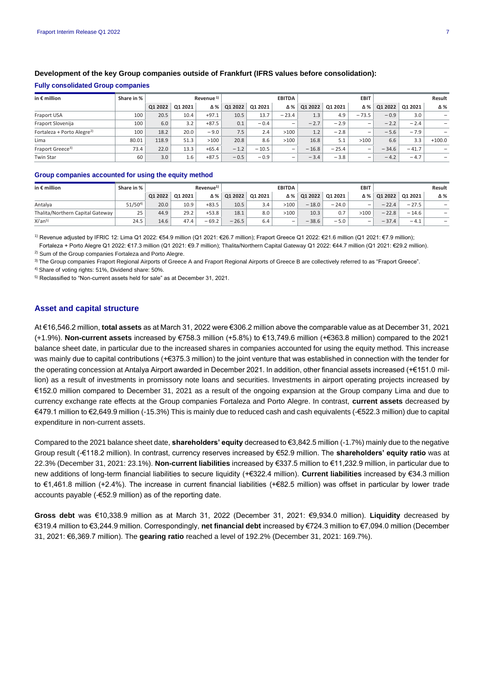| in $\epsilon$ million                  | Share in % |         |         | Revenue <sup>1)</sup> |         |         | <b>EBITDA</b>            |         |         | <b>EBIT</b>              |         |         | Result                   |
|----------------------------------------|------------|---------|---------|-----------------------|---------|---------|--------------------------|---------|---------|--------------------------|---------|---------|--------------------------|
|                                        |            | Q1 2022 | Q1 2021 | Δ%                    | Q1 2022 | Q1 2021 | Δ%                       | Q1 2022 | Q1 2021 | Δ%                       | Q1 2022 | Q1 2021 | Δ%                       |
| Fraport USA                            | 100        | 20.5    | 10.4    | $+97.1$               | 10.5    | 13.7    | $-23.4$                  | 1.3     | 4.9     | $-73.5$                  | $-0.9$  | 3.0     | -                        |
| Fraport Slovenija                      | 100        | 6.0     | 3.2     | $+87.5$               | 0.1     | $-0.4$  | -                        | $-2.7$  | $-2.9$  | $\qquad \qquad$          | $-2.2$  | $-2.4$  | $\overline{\phantom{0}}$ |
| Fortaleza + Porto Alegre <sup>2)</sup> | 100        | 18.2    | 20.0    | $-9.0$                | 7.5     | 2.4     | >100                     | 1.2     | $-2.8$  | $\qquad \qquad$          | $-5.6$  | $-7.9$  | $\overline{\phantom{0}}$ |
| Lima                                   | 80.01      | 118.9   | 51.3    | >100                  | 20.8    | 8.6     | >100                     | 16.8    | 5.1     | >100                     | 6.6     | 3.3     | $+100.0$                 |
| Fraport Greece <sup>3)</sup>           | 73.4       | 22.0    | 13.3    | $+65.4$               | $-1.2$  | $-10.5$ | $\overline{\phantom{a}}$ | $-16.8$ | $-25.4$ | $\overline{\phantom{a}}$ | $-34.6$ | $-41.7$ | -                        |
| <b>Twin Star</b>                       | 60         | 3.0     | 1.6     | $+87.5$               | $-0.5$  | $-0.9$  | $\overline{\phantom{a}}$ | $-3.4$  | $-3.8$  | $\overline{\phantom{0}}$ | $-4.2$  | $-4.7$  | $\overline{\phantom{0}}$ |

# **Development of the key Group companies outside of Frankfurt (IFRS values before consolidation):**

**Fully consolidated Group companies**

## **Group companies accounted for using the equity method**

| in $\epsilon$ million            | Share in %  | Revenue <sup>1)</sup> |         |         |         | <b>EBITDA</b> |                          |         | <b>EBIT</b> | Result                   |         |         |     |
|----------------------------------|-------------|-----------------------|---------|---------|---------|---------------|--------------------------|---------|-------------|--------------------------|---------|---------|-----|
|                                  |             | Q1 2022               | Q1 2021 | Δ% I    | Q1 2022 | Q1 2021       | Δ%                       | Q1 2022 | Q1 2021     | Δ%                       | Q1 2022 | Q1 2021 | Δ%  |
| Antalva                          | $51/50^{4}$ | 20.0                  | 10.9    | $+83.5$ | 10.5    | 3.4           | >100                     | $-18.0$ | $-24.0$     | $\sim$                   | $-22.4$ | $-27.5$ | -   |
| Thalita/Northern Capital Gateway | 25          | 44.9                  | 29.2    | $+53.8$ | 18.1    | 8.0           | >100                     | 10.3    | 0.7         | >100                     | $-22.8$ | $-14.6$ | -   |
| Xi'an <sup>5)</sup>              | 24.5        | 14.6                  | 47.4    | $-69.2$ | $-26.5$ | 6.4           | $\overline{\phantom{0}}$ | $-38.6$ | $-5.0$      | $\overline{\phantom{a}}$ | $-37.4$ | $-4.1$  | $-$ |

1) Revenue adjusted by IFRIC 12: Lima Q1 2022: €54.9 million (Q1 2021: €26.7 million); Fraport Greece Q1 2022: €21.6 million (Q1 2021: €7.9 million);

 Fortaleza + Porto Alegre Q1 2022: €17.3 million (Q1 2021: €9.7 million); Thalita/Northern Capital Gateway Q1 2022: €44.7 million (Q1 2021: €29.2 million). 2) Sum of the Group companies Fortaleza and Porto Alegre.

3) The Group companies Fraport Regional Airports of Greece A and Fraport Regional Airports of Greece B are collectively referred to as "Fraport Greece".

4) Share of voting rights: 51%, Dividend share: 50%.

5) Reclassified to "Non-current assets held for sale" as at December 31, 2021.

# **Asset and capital structure**

At €16,546.2 million, **total assets** as at March 31, 2022 were €306.2 million above the comparable value as at December 31, 2021 (+1.9%). **Non-current assets** increased by €758.3 million (+5.8%) to €13,749.6 million (+€363.8 million) compared to the 2021 balance sheet date, in particular due to the increased shares in companies accounted for using the equity method. This increase was mainly due to capital contributions (+€375.3 million) to the joint venture that was established in connection with the tender for the operating concession at Antalya Airport awarded in December 2021. In addition, other financial assets increased (+€151.0 million) as a result of investments in promissory note loans and securities. Investments in airport operating projects increased by €152.0 million compared to December 31, 2021 as a result of the ongoing expansion at the Group company Lima and due to currency exchange rate effects at the Group companies Fortaleza and Porto Alegre. In contrast, **current assets** decreased by €479.1 million to €2,649.9 million (-15.3%) This is mainly due to reduced cash and cash equivalents (-€522.3 million) due to capital expenditure in non-current assets.

Compared to the 2021 balance sheet date, **shareholders' equity** decreased to €3,842.5 million (-1.7%) mainly due to the negative Group result (-€118.2 million). In contrast, currency reserves increased by €52.9 million. The **shareholders' equity ratio** was at 22.3% (December 31, 2021: 23.1%). **Non-current liabilities** increased by €337.5 million to €11,232.9 million, in particular due to new additions of long-term financial liabilities to secure liquidity (+€322.4 million). **Current liabilities** increased by €34.3 million to €1,461.8 million (+2.4%). The increase in current financial liabilities (+€82.5 million) was offset in particular by lower trade accounts payable (-€52.9 million) as of the reporting date.

**Gross debt** was €10,338.9 million as at March 31, 2022 (December 31, 2021: €9,934.0 million). **Liquidity** decreased by €319.4 million to €3,244.9 million. Correspondingly, **net financial debt** increased by €724.3 million to €7,094.0 million (December 31, 2021: €6,369.7 million). The **gearing ratio** reached a level of 192.2% (December 31, 2021: 169.7%).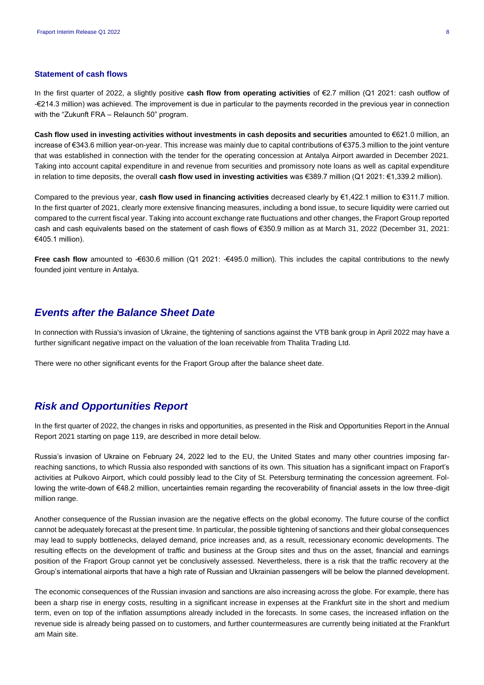# **Statement of cash flows**

In the first quarter of 2022, a slightly positive **cash flow from operating activities** of €2.7 million (Q1 2021: cash outflow of -€214.3 million) was achieved. The improvement is due in particular to the payments recorded in the previous year in connection with the "Zukunft FRA – Relaunch 50" program.

**Cash flow used in investing activities without investments in cash deposits and securities** amounted to €621.0 million, an increase of €343.6 million year-on-year. This increase was mainly due to capital contributions of €375.3 million to the joint venture that was established in connection with the tender for the operating concession at Antalya Airport awarded in December 2021. Taking into account capital expenditure in and revenue from securities and promissory note loans as well as capital expenditure in relation to time deposits, the overall **cash flow used in investing activities** was €389.7 million (Q1 2021: €1,339.2 million).

Compared to the previous year, **cash flow used in financing activities** decreased clearly by €1,422.1 million to €311.7 million. In the first quarter of 2021, clearly more extensive financing measures, including a bond issue, to secure liquidity were carried out compared to the current fiscal year. Taking into account exchange rate fluctuations and other changes, the Fraport Group reported cash and cash equivalents based on the statement of cash flows of €350.9 million as at March 31, 2022 (December 31, 2021: €405.1 million).

**Free cash flow** amounted to -€630.6 million (Q1 2021: -€495.0 million). This includes the capital contributions to the newly founded joint venture in Antalya.

# *Events after the Balance Sheet Date*

In connection with Russia's invasion of Ukraine, the tightening of sanctions against the VTB bank group in April 2022 may have a further significant negative impact on the valuation of the loan receivable from Thalita Trading Ltd.

There were no other significant events for the Fraport Group after the balance sheet date.

# *Risk and Opportunities Report*

In the first quarter of 2022, the changes in risks and opportunities, as presented in the Risk and Opportunities Report in the Annual Report 2021 starting on page 119, are described in more detail below.

Russia's invasion of Ukraine on February 24, 2022 led to the EU, the United States and many other countries imposing farreaching sanctions, to which Russia also responded with sanctions of its own. This situation has a significant impact on Fraport's activities at Pulkovo Airport, which could possibly lead to the City of St. Petersburg terminating the concession agreement. Following the write-down of €48.2 million, uncertainties remain regarding the recoverability of financial assets in the low three-digit million range.

Another consequence of the Russian invasion are the negative effects on the global economy. The future course of the conflict cannot be adequately forecast at the present time. In particular, the possible tightening of sanctions and their global consequences may lead to supply bottlenecks, delayed demand, price increases and, as a result, recessionary economic developments. The resulting effects on the development of traffic and business at the Group sites and thus on the asset, financial and earnings position of the Fraport Group cannot yet be conclusively assessed. Nevertheless, there is a risk that the traffic recovery at the Group's international airports that have a high rate of Russian and Ukrainian passengers will be below the planned development.

The economic consequences of the Russian invasion and sanctions are also increasing across the globe. For example, there has been a sharp rise in energy costs, resulting in a significant increase in expenses at the Frankfurt site in the short and medium term, even on top of the inflation assumptions already included in the forecasts. In some cases, the increased inflation on the revenue side is already being passed on to customers, and further countermeasures are currently being initiated at the Frankfurt am Main site.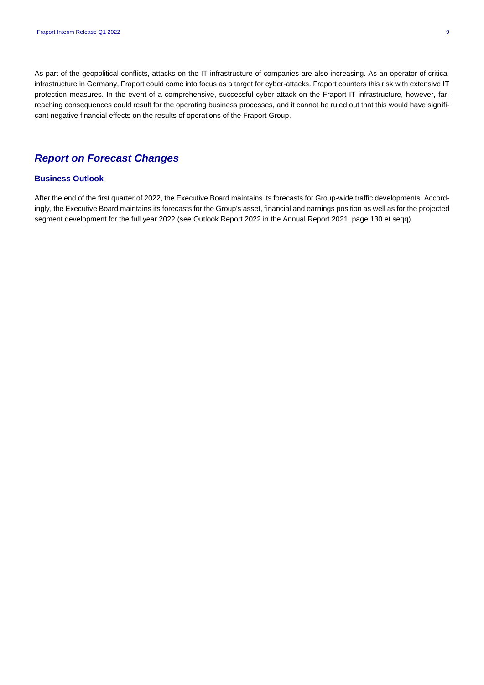As part of the geopolitical conflicts, attacks on the IT infrastructure of companies are also increasing. As an operator of critical infrastructure in Germany, Fraport could come into focus as a target for cyber-attacks. Fraport counters this risk with extensive IT protection measures. In the event of a comprehensive, successful cyber-attack on the Fraport IT infrastructure, however, farreaching consequences could result for the operating business processes, and it cannot be ruled out that this would have significant negative financial effects on the results of operations of the Fraport Group.

# *Report on Forecast Changes*

# **Business Outlook**

After the end of the first quarter of 2022, the Executive Board maintains its forecasts for Group-wide traffic developments. Accordingly, the Executive Board maintains its forecasts for the Group's asset, financial and earnings position as well as for the projected segment development for the full year 2022 (see Outlook Report 2022 in the Annual Report 2021, page 130 et seqq).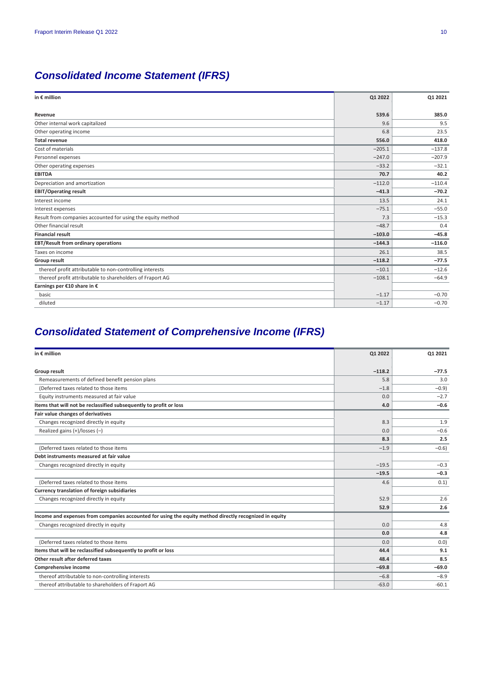# *Consolidated Income Statement (IFRS)*

| in $\epsilon$ million                                       | Q1 2022  | 01 2021  |
|-------------------------------------------------------------|----------|----------|
| Revenue                                                     | 539.6    | 385.0    |
| Other internal work capitalized                             | 9.6      | 9.5      |
| Other operating income                                      | 6.8      | 23.5     |
| <b>Total revenue</b>                                        | 556.0    | 418.0    |
| Cost of materials                                           | $-205.1$ | $-137.8$ |
| Personnel expenses                                          | $-247.0$ | $-207.9$ |
| Other operating expenses                                    | $-33.2$  | $-32.1$  |
| <b>EBITDA</b>                                               | 70.7     | 40.2     |
| Depreciation and amortization                               | $-112.0$ | $-110.4$ |
| <b>EBIT/Operating result</b>                                | $-41.3$  | $-70.2$  |
| Interest income                                             | 13.5     | 24.1     |
| Interest expenses                                           | $-75.1$  | $-55.0$  |
| Result from companies accounted for using the equity method | 7.3      | $-15.3$  |
| Other financial result                                      | $-48.7$  | 0.4      |
| <b>Financial result</b>                                     | $-103.0$ | $-45.8$  |
| EBT/Result from ordinary operations                         | $-144.3$ | $-116.0$ |
| Taxes on income                                             | 26.1     | 38.5     |
| <b>Group result</b>                                         | $-118.2$ | $-77.5$  |
| thereof profit attributable to non-controlling interests    | $-10.1$  | $-12.6$  |
| thereof profit attributable to shareholders of Fraport AG   | $-108.1$ | $-64.9$  |
| Earnings per €10 share in €                                 |          |          |
| basic                                                       | $-1.17$  | $-0.70$  |
| diluted                                                     | $-1.17$  | $-0.70$  |
|                                                             |          |          |

# *Consolidated Statement of Comprehensive Income (IFRS)*

| in € million                                                                                           | Q1 2022  | 01 2021 |
|--------------------------------------------------------------------------------------------------------|----------|---------|
| Group result                                                                                           | $-118.2$ | $-77.5$ |
| Remeasurements of defined benefit pension plans                                                        | 5.8      | 3.0     |
| (Deferred taxes related to those items                                                                 | $-1.8$   | $-0.9$  |
| Equity instruments measured at fair value                                                              | 0.0      | $-2.7$  |
| Items that will not be reclassified subsequently to profit or loss                                     | 4.0      | $-0.6$  |
| Fair value changes of derivatives                                                                      |          |         |
| Changes recognized directly in equity                                                                  | 8.3      | 1.9     |
| Realized gains $(+)/$ losses $(-)$                                                                     | 0.0      | $-0.6$  |
|                                                                                                        | 8.3      | 2.5     |
| (Deferred taxes related to those items                                                                 | $-1.9$   | $-0.6$  |
| Debt instruments measured at fair value                                                                |          |         |
| Changes recognized directly in equity                                                                  | $-19.5$  | $-0.3$  |
|                                                                                                        | $-19.5$  | $-0.3$  |
| (Deferred taxes related to those items                                                                 | 4.6      | 0.1)    |
| Currency translation of foreign subsidiaries                                                           |          |         |
| Changes recognized directly in equity                                                                  | 52.9     | 2.6     |
|                                                                                                        | 52.9     | 2.6     |
| Income and expenses from companies accounted for using the equity method directly recognized in equity |          |         |
| Changes recognized directly in equity                                                                  | 0.0      | 4.8     |
|                                                                                                        | 0.0      | 4.8     |
| (Deferred taxes related to those items                                                                 | 0.0      | 0.0)    |
| Items that will be reclassified subsequently to profit or loss                                         | 44.4     | 9.1     |
| Other result after deferred taxes                                                                      | 48.4     | 8.5     |
| Comprehensive income                                                                                   | $-69.8$  | $-69.0$ |
| thereof attributable to non-controlling interests                                                      | $-6.8$   | $-8.9$  |
| thereof attributable to shareholders of Fraport AG                                                     | $-63.0$  | $-60.1$ |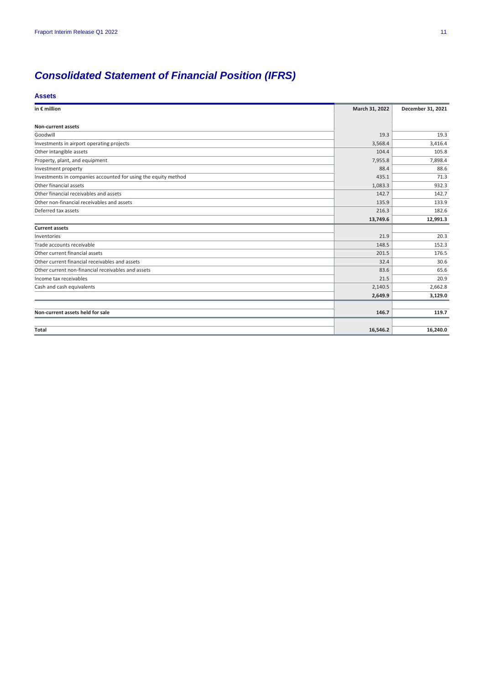# *Consolidated Statement of Financial Position (IFRS)*

## **Assets**

| in $\epsilon$ million                                          | March 31, 2022 | December 31, 2021 |
|----------------------------------------------------------------|----------------|-------------------|
| <b>Non-current assets</b>                                      |                |                   |
| Goodwill                                                       | 19.3           | 19.3              |
| Investments in airport operating projects                      | 3,568.4        | 3,416.4           |
| Other intangible assets                                        | 104.4          | 105.8             |
| Property, plant, and equipment                                 | 7,955.8        | 7,898.4           |
| Investment property                                            | 88.4           | 88.6              |
| Investments in companies accounted for using the equity method | 435.1          | 71.3              |
| Other financial assets                                         | 1,083.3        | 932.3             |
| Other financial receivables and assets                         | 142.7          | 142.7             |
| Other non-financial receivables and assets                     | 135.9          | 133.9             |
| Deferred tax assets                                            | 216.3          | 182.6             |
|                                                                | 13,749.6       | 12,991.3          |
| <b>Current assets</b>                                          |                |                   |
| Inventories                                                    | 21.9           | 20.3              |
| Trade accounts receivable                                      | 148.5          | 152.3             |
| Other current financial assets                                 | 201.5          | 176.5             |
| Other current financial receivables and assets                 | 32.4           | 30.6              |
| Other current non-financial receivables and assets             | 83.6           | 65.6              |
| Income tax receivables                                         | 21.5           | 20.9              |
| Cash and cash equivalents                                      | 2,140.5        | 2,662.8           |
|                                                                | 2,649.9        | 3,129.0           |
|                                                                |                |                   |
| Non-current assets held for sale                               | 146.7          | 119.7             |
|                                                                |                |                   |
| Total                                                          | 16,546.2       | 16,240.0          |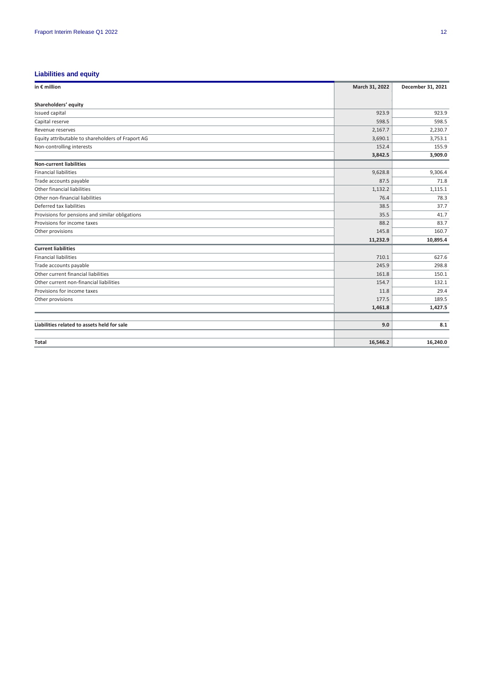# **Liabilities and equity**

| in $\epsilon$ million                             | March 31, 2022 | December 31, 2021 |
|---------------------------------------------------|----------------|-------------------|
| Shareholders' equity                              |                |                   |
| Issued capital                                    | 923.9          | 923.9             |
| Capital reserve                                   | 598.5          | 598.5             |
| Revenue reserves                                  | 2,167.7        | 2,230.7           |
| Equity attributable to shareholders of Fraport AG | 3,690.1        | 3,753.1           |
| Non-controlling interests                         | 152.4          | 155.9             |
|                                                   | 3,842.5        | 3,909.0           |
| <b>Non-current liabilities</b>                    |                |                   |
| <b>Financial liabilities</b>                      | 9,628.8        | 9,306.4           |
| Trade accounts payable                            | 87.5           | 71.8              |
| Other financial liabilities                       | 1,132.2        | 1,115.1           |
| Other non-financial liabilities                   | 76.4           | 78.3              |
| Deferred tax liabilities                          | 38.5           | 37.7              |
| Provisions for pensions and similar obligations   | 35.5           | 41.7              |
| Provisions for income taxes                       | 88.2           | 83.7              |
| Other provisions                                  | 145.8          | 160.7             |
|                                                   | 11,232.9       | 10,895.4          |
| <b>Current liabilities</b>                        |                |                   |
| <b>Financial liabilities</b>                      | 710.1          | 627.6             |
| Trade accounts payable                            | 245.9          | 298.8             |
| Other current financial liabilities               | 161.8          | 150.1             |
| Other current non-financial liabilities           | 154.7          | 132.1             |
| Provisions for income taxes                       | 11.8           | 29.4              |
| Other provisions                                  | 177.5          | 189.5             |
|                                                   | 1,461.8        | 1,427.5           |
| Liabilities related to assets held for sale       | 9.0            | 8.1               |
| Total                                             | 16,546.2       | 16,240.0          |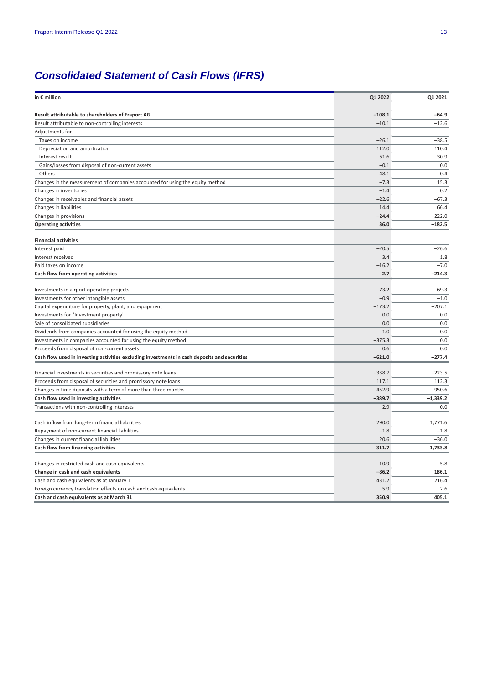# *Consolidated Statement of Cash Flows (IFRS)*

| in € million                                                                                 | Q1 2022  | Q1 2021    |
|----------------------------------------------------------------------------------------------|----------|------------|
| Result attributable to shareholders of Fraport AG                                            | $-108.1$ | $-64.9$    |
| Result attributable to non-controlling interests                                             | $-10.1$  | $-12.6$    |
| Adjustments for                                                                              |          |            |
| Taxes on income                                                                              | $-26.1$  | $-38.5$    |
| Depreciation and amortization                                                                | 112.0    | 110.4      |
| Interest result                                                                              | 61.6     | 30.9       |
| Gains/losses from disposal of non-current assets                                             | $-0.1$   | 0.0        |
| Others                                                                                       | 48.1     | $-0.4$     |
| Changes in the measurement of companies accounted for using the equity method                | $-7.3$   | 15.3       |
| Changes in inventories                                                                       | $-1.4$   | 0.2        |
| Changes in receivables and financial assets                                                  | $-22.6$  | $-67.3$    |
| Changes in liabilities                                                                       | 14.4     | 66.4       |
| Changes in provisions                                                                        | $-24.4$  | $-222.0$   |
| <b>Operating activities</b>                                                                  | 36.0     | $-182.5$   |
|                                                                                              |          |            |
| <b>Financial activities</b>                                                                  |          |            |
| Interest paid                                                                                | $-20.5$  | $-26.6$    |
| Interest received                                                                            | 3.4      | 1.8        |
| Paid taxes on income                                                                         | $-16.2$  | $-7.0$     |
| Cash flow from operating activities                                                          | 2.7      | $-214.3$   |
| Investments in airport operating projects                                                    | $-73.2$  | $-69.3$    |
| Investments for other intangible assets                                                      | $-0.9$   | $-1.0$     |
| Capital expenditure for property, plant, and equipment                                       | $-173.2$ | $-207.1$   |
| Investments for "Investment property"                                                        | 0.0      | 0.0        |
| Sale of consolidated subsidiaries                                                            | 0.0      | 0.0        |
| Dividends from companies accounted for using the equity method                               | 1.0      | 0.0        |
| Investments in companies accounted for using the equity method                               | $-375.3$ | 0.0        |
| Proceeds from disposal of non-current assets                                                 | 0.6      | 0.0        |
| Cash flow used in investing activities excluding investments in cash deposits and securities | $-621.0$ | $-277.4$   |
|                                                                                              |          |            |
| Financial investments in securities and promissory note loans                                | $-338.7$ | $-223.5$   |
| Proceeds from disposal of securities and promissory note loans                               | 117.1    | 112.3      |
| Changes in time deposits with a term of more than three months                               | 452.9    | $-950.6$   |
| Cash flow used in investing activities                                                       | $-389.7$ | $-1,339.2$ |
| Transactions with non-controlling interests                                                  | 2.9      | 0.0        |
| Cash inflow from long-term financial liabilities                                             | 290.0    | 1,771.6    |
| Repayment of non-current financial liabilities                                               | $-1.8$   | $-1.8$     |
| Changes in current financial liabilities                                                     | 20.6     | $-36.0$    |
| Cash flow from financing activities                                                          | 311.7    | 1,733.8    |
|                                                                                              |          |            |
| Changes in restricted cash and cash equivalents                                              | $-10.9$  | 5.8        |
| Change in cash and cash equivalents                                                          | $-86.2$  | 186.1      |
| Cash and cash equivalents as at January 1                                                    | 431.2    | 216.4      |
| Foreign currency translation effects on cash and cash equivalents                            | 5.9      | 2.6        |
| Cash and cash equivalents as at March 31                                                     | 350.9    | 405.1      |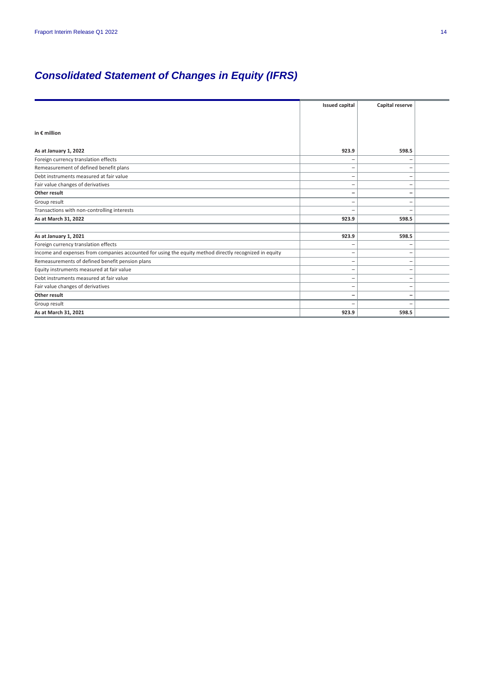# *Consolidated Statement of Changes in Equity (IFRS)*

|                                                                                                        | <b>Issued capital</b> | Capital reserve |  |
|--------------------------------------------------------------------------------------------------------|-----------------------|-----------------|--|
|                                                                                                        |                       |                 |  |
|                                                                                                        |                       |                 |  |
| in $\epsilon$ million                                                                                  |                       |                 |  |
|                                                                                                        |                       |                 |  |
| As at January 1, 2022                                                                                  | 923.9                 | 598.5           |  |
| Foreign currency translation effects                                                                   | -                     |                 |  |
| Remeasurement of defined benefit plans                                                                 |                       |                 |  |
| Debt instruments measured at fair value                                                                | -                     |                 |  |
| Fair value changes of derivatives                                                                      |                       |                 |  |
| Other result                                                                                           |                       |                 |  |
| Group result                                                                                           | -                     | -               |  |
| Transactions with non-controlling interests                                                            |                       |                 |  |
| As at March 31, 2022                                                                                   | 923.9                 | 598.5           |  |
|                                                                                                        |                       |                 |  |
| As at January 1, 2021                                                                                  | 923.9                 | 598.5           |  |
| Foreign currency translation effects                                                                   |                       |                 |  |
| Income and expenses from companies accounted for using the equity method directly recognized in equity |                       |                 |  |
| Remeasurements of defined benefit pension plans                                                        | -                     | -               |  |
| Equity instruments measured at fair value                                                              | -                     |                 |  |
| Debt instruments measured at fair value                                                                | -                     |                 |  |
| Fair value changes of derivatives                                                                      | -                     |                 |  |
| Other result                                                                                           | -                     |                 |  |
| Group result                                                                                           |                       |                 |  |
| As at March 31, 2021                                                                                   | 923.9                 | 598.5           |  |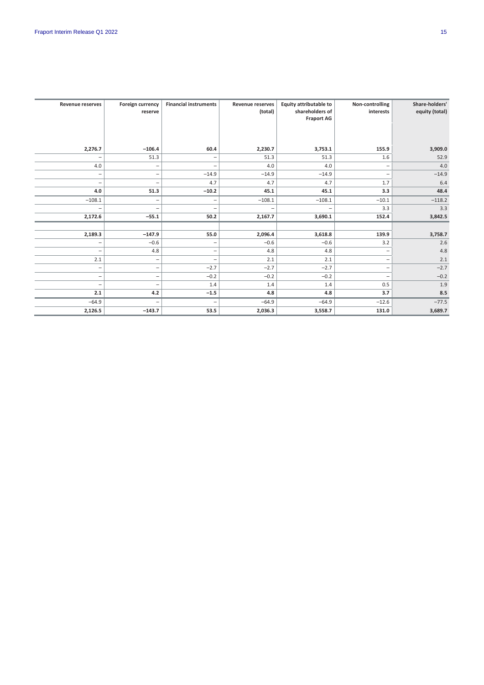| <b>Revenue reserves</b> | Foreign currency<br>reserve | <b>Financial instruments</b> | <b>Revenue reserves</b><br>(total) | <b>Equity attributable to</b><br>shareholders of<br><b>Fraport AG</b> | Non-controlling<br>interests | Share-holders'<br>equity (total) |
|-------------------------|-----------------------------|------------------------------|------------------------------------|-----------------------------------------------------------------------|------------------------------|----------------------------------|
| 2,276.7                 | $-106.4$                    | 60.4                         | 2,230.7                            | 3,753.1                                                               | 155.9                        | 3,909.0                          |
|                         | 51.3                        | -                            | 51.3                               | 51.3                                                                  | 1.6                          | 52.9                             |
| 4.0                     | -                           | $\overline{\phantom{0}}$     | 4.0                                | 4.0                                                                   |                              | 4.0                              |
| -                       | $\overline{\phantom{m}}$    | $-14.9$                      | $-14.9$                            | $-14.9$                                                               | -                            | $-14.9$                          |
| -                       | $\overline{\phantom{0}}$    | 4.7                          | 4.7                                | 4.7                                                                   | 1.7                          | 6.4                              |
| 4.0                     | 51.3                        | $-10.2$                      | 45.1                               | 45.1                                                                  | 3.3                          | 48.4                             |
| $-108.1$                | -                           | -                            | $-108.1$                           | $-108.1$                                                              | $-10.1$                      | $-118.2$                         |
|                         | $\overline{\phantom{a}}$    | $\overline{\phantom{0}}$     | -                                  | $\overline{\phantom{m}}$                                              | 3.3                          | 3.3                              |
| 2,172.6                 | $-55.1$                     | 50.2                         | 2,167.7                            | 3,690.1                                                               | 152.4                        | 3,842.5                          |
|                         |                             |                              |                                    |                                                                       |                              |                                  |
| 2,189.3                 | $-147.9$                    | 55.0                         | 2,096.4                            | 3,618.8                                                               | 139.9                        | 3,758.7                          |
|                         | $-0.6$                      | -                            | $-0.6$                             | $-0.6$                                                                | 3.2                          | 2.6                              |
| -                       | 4.8                         | $\overline{\phantom{0}}$     | 4.8                                | 4.8                                                                   | $\overline{\phantom{a}}$     | 4.8                              |
| 2.1                     | $\overline{\phantom{a}}$    | -                            | 2.1                                | 2.1                                                                   | -                            | 2.1                              |
| -                       | $\overline{\phantom{m}}$    | $-2.7$                       | $-2.7$                             | $-2.7$                                                                | $\overline{\phantom{0}}$     | $-2.7$                           |
| -                       | $\overline{\phantom{0}}$    | $-0.2$                       | $-0.2$                             | $-0.2$                                                                | $\overline{\phantom{0}}$     | $-0.2$                           |
| -                       | -                           | 1.4                          | 1.4                                | 1.4                                                                   | 0.5                          | 1.9                              |
| 2.1                     | 4.2                         | $-1.5$                       | 4.8                                | 4.8                                                                   | 3.7                          | 8.5                              |
| $-64.9$                 | -                           | $\overline{\phantom{0}}$     | $-64.9$                            | $-64.9$                                                               | $-12.6$                      | $-77.5$                          |
| 2,126.5                 | $-143.7$                    | 53.5                         | 2,036.3                            | 3,558.7                                                               | 131.0                        | 3,689.7                          |